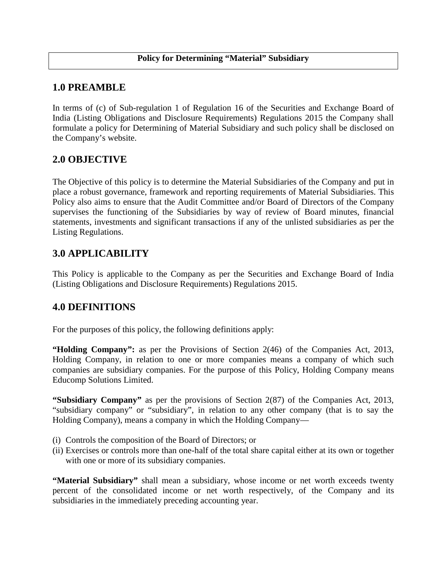#### **1.0 PREAMBLE**

In terms of (c) of Sub-regulation 1 of Regulation 16 of the Securities and Exchange Board of India (Listing Obligations and Disclosure Requirements) Regulations 2015 the Company shall formulate a policy for Determining of Material Subsidiary and such policy shall be disclosed on the Company's website.

#### **2.0 OBJECTIVE**

The Objective of this policy is to determine the Material Subsidiaries of the Company and put in place a robust governance, framework and reporting requirements of Material Subsidiaries. This Policy also aims to ensure that the Audit Committee and/or Board of Directors of the Company supervises the functioning of the Subsidiaries by way of review of Board minutes, financial statements, investments and significant transactions if any of the unlisted subsidiaries as per the Listing Regulations.

### **3.0 APPLICABILITY**

This Policy is applicable to the Company as per the Securities and Exchange Board of India (Listing Obligations and Disclosure Requirements) Regulations 2015.

### **4.0 DEFINITIONS**

For the purposes of this policy, the following definitions apply:

**"Holding Company":** as per the Provisions of Section 2(46) of the Companies Act, 2013, Holding Company, in relation to one or more companies means a company of which such companies are subsidiary companies. For the purpose of this Policy, Holding Company means Educomp Solutions Limited.

**"Subsidiary Company"** as per the provisions of Section 2(87) of the Companies Act, 2013, "subsidiary company" or "subsidiary", in relation to any other company (that is to say the Holding Company), means a company in which the Holding Company—

- (i) Controls the composition of the Board of Directors; or
- (ii) Exercises or controls more than one-half of the total share capital either at its own or together with one or more of its subsidiary companies.

**"Material Subsidiary"** shall mean a subsidiary, whose income or net worth exceeds twenty percent of the consolidated income or net worth respectively, of the Company and its subsidiaries in the immediately preceding accounting year.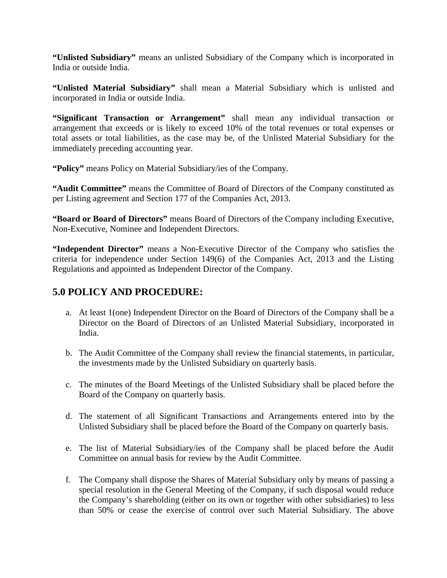**"Unlisted Subsidiary"** means an unlisted Subsidiary of the Company which is incorporated in India or outside India.

**"Unlisted Material Subsidiary"** shall mean a Material Subsidiary which is unlisted and incorporated in India or outside India.

**"Significant Transaction or Arrangement"** shall mean any individual transaction or arrangement that exceeds or is likely to exceed 10% of the total revenues or total expenses or total assets or total liabilities, as the case may be, of the Unlisted Material Subsidiary for the immediately preceding accounting year.

**"Policy"** means Policy on Material Subsidiary/ies of the Company.

**"Audit Committee"** means the Committee of Board of Directors of the Company constituted as per Listing agreement and Section 177 of the Companies Act, 2013.

**"Board or Board of Directors"** means Board of Directors of the Company including Executive, Non-Executive, Nominee and Independent Directors.

**"Independent Director"** means a Non-Executive Director of the Company who satisfies the criteria for independence under Section 149(6) of the Companies Act, 2013 and the Listing Regulations and appointed as Independent Director of the Company.

## **5.0 POLICY AND PROCEDURE:**

- a. At least 1(one) Independent Director on the Board of Directors of the Company shall be a Director on the Board of Directors of an Unlisted Material Subsidiary, incorporated in India.
- b. The Audit Committee of the Company shall review the financial statements, in particular, the investments made by the Unlisted Subsidiary on quarterly basis.
- c. The minutes of the Board Meetings of the Unlisted Subsidiary shall be placed before the Board of the Company on quarterly basis.
- d. The statement of all Significant Transactions and Arrangements entered into by the Unlisted Subsidiary shall be placed before the Board of the Company on quarterly basis.
- e. The list of Material Subsidiary/ies of the Company shall be placed before the Audit Committee on annual basis for review by the Audit Committee.
- f. The Company shall dispose the Shares of Material Subsidiary only by means of passing a special resolution in the General Meeting of the Company, if such disposal would reduce the Company's shareholding (either on its own or together with other subsidiaries) to less than 50% or cease the exercise of control over such Material Subsidiary. The above